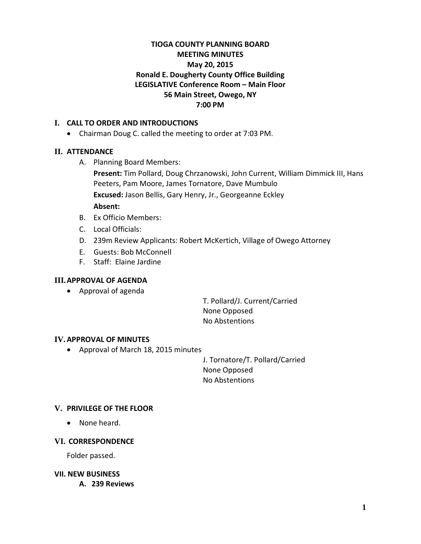# **TIOGA COUNTY PLANNING BOARD MEETING MINUTES May 20, 2015 Ronald E. Dougherty County Office Building LEGISLATIVE Conference Room – Main Floor 56 Main Street, Owego, NY 7:00 PM**

## **I. CALL TO ORDER AND INTRODUCTIONS**

• Chairman Doug C. called the meeting to order at 7:03 PM.

## **II. ATTENDANCE**

A. Planning Board Members:

**Present:** Tim Pollard, Doug Chrzanowski, John Current, William Dimmick III, Hans Peeters, Pam Moore, James Tornatore, Dave Mumbulo **Excused:** Jason Bellis, Gary Henry, Jr., Georgeanne Eckley **Absent:**

- B. Ex Officio Members:
- C. Local Officials:
- D. 239m Review Applicants: Robert McKertich, Village of Owego Attorney
- E. Guests: Bob McConnell
- F. Staff: Elaine Jardine

#### **III.APPROVAL OF AGENDA**

• Approval of agenda

T. Pollard/J. Current/Carried None Opposed No Abstentions

#### **IV.APPROVAL OF MINUTES**

• Approval of March 18, 2015 minutes

J. Tornatore/T. Pollard/Carried None Opposed No Abstentions

# **V. PRIVILEGE OF THE FLOOR**

• None heard.

#### **VI. CORRESPONDENCE**

Folder passed.

#### **VII. NEW BUSINESS**

**A. 239 Reviews**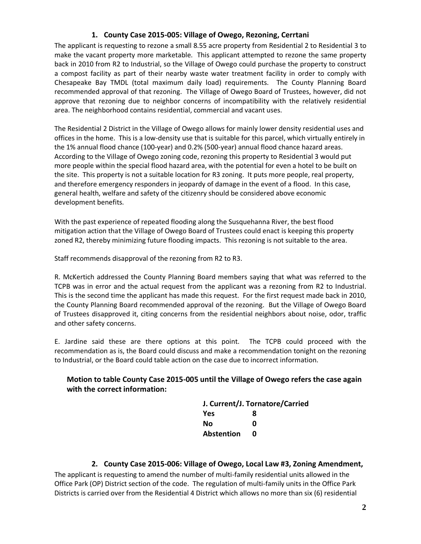## **1. County Case 2015-005: Village of Owego, Rezoning, Cerrtani**

The applicant is requesting to rezone a small 8.55 acre property from Residential 2 to Residential 3 to make the vacant property more marketable. This applicant attempted to rezone the same property back in 2010 from R2 to Industrial, so the Village of Owego could purchase the property to construct a compost facility as part of their nearby waste water treatment facility in order to comply with Chesapeake Bay TMDL (total maximum daily load) requirements. The County Planning Board recommended approval of that rezoning. The Village of Owego Board of Trustees, however, did not approve that rezoning due to neighbor concerns of incompatibility with the relatively residential area. The neighborhood contains residential, commercial and vacant uses.

The Residential 2 District in the Village of Owego allows for mainly lower density residential uses and offices in the home. This is a low-density use that is suitable for this parcel, which virtually entirely in the 1% annual flood chance (100-year) and 0.2% (500-year) annual flood chance hazard areas. According to the Village of Owego zoning code, rezoning this property to Residential 3 would put more people within the special flood hazard area, with the potential for even a hotel to be built on the site. This property is not a suitable location for R3 zoning. It puts more people, real property, and therefore emergency responders in jeopardy of damage in the event of a flood. In this case, general health, welfare and safety of the citizenry should be considered above economic development benefits.

With the past experience of repeated flooding along the Susquehanna River, the best flood mitigation action that the Village of Owego Board of Trustees could enact is keeping this property zoned R2, thereby minimizing future flooding impacts. This rezoning is not suitable to the area.

Staff recommends disapproval of the rezoning from R2 to R3.

R. McKertich addressed the County Planning Board members saying that what was referred to the TCPB was in error and the actual request from the applicant was a rezoning from R2 to Industrial. This is the second time the applicant has made this request. For the first request made back in 2010, the County Planning Board recommended approval of the rezoning. But the Village of Owego Board of Trustees disapproved it, citing concerns from the residential neighbors about noise, odor, traffic and other safety concerns.

E. Jardine said these are there options at this point. The TCPB could proceed with the recommendation as is, the Board could discuss and make a recommendation tonight on the rezoning to Industrial, or the Board could table action on the case due to incorrect information.

# **Motion to table County Case 2015-005 until the Village of Owego refers the case again with the correct information:**

| J. Current/J. Tornatore/Carried |   |  |
|---------------------------------|---|--|
| Yes                             | я |  |
| Nο                              | n |  |
| <b>Abstention</b>               | n |  |
|                                 |   |  |

#### **2. County Case 2015-006: Village of Owego, Local Law #3, Zoning Amendment,**

The applicant is requesting to amend the number of multi-family residential units allowed in the Office Park (OP) District section of the code. The regulation of multi-family units in the Office Park Districts is carried over from the Residential 4 District which allows no more than six (6) residential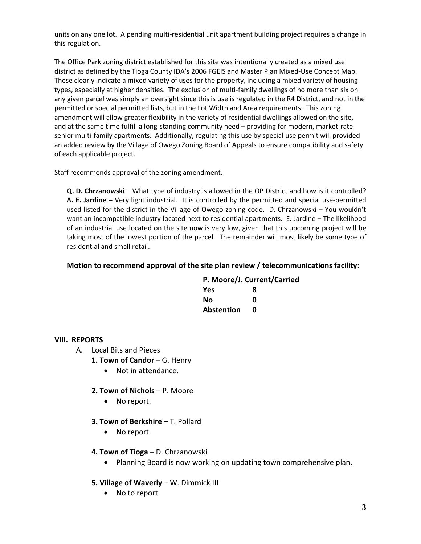units on any one lot. A pending multi-residential unit apartment building project requires a change in this regulation.

The Office Park zoning district established for this site was intentionally created as a mixed use district as defined by the Tioga County IDA's 2006 FGEIS and Master Plan Mixed-Use Concept Map. These clearly indicate a mixed variety of uses for the property, including a mixed variety of housing types, especially at higher densities. The exclusion of multi-family dwellings of no more than six on any given parcel was simply an oversight since this is use is regulated in the R4 District, and not in the permitted or special permitted lists, but in the Lot Width and Area requirements. This zoning amendment will allow greater flexibility in the variety of residential dwellings allowed on the site, and at the same time fulfill a long-standing community need – providing for modern, market-rate senior multi-family apartments. Additionally, regulating this use by special use permit will provided an added review by the Village of Owego Zoning Board of Appeals to ensure compatibility and safety of each applicable project.

Staff recommends approval of the zoning amendment.

**Q. D. Chrzanowski** – What type of industry is allowed in the OP District and how is it controlled? **A. E. Jardine** – Very light industrial. It is controlled by the permitted and special use-permitted used listed for the district in the Village of Owego zoning code. D. Chrzanowski – You wouldn't want an incompatible industry located next to residential apartments. E. Jardine – The likelihood of an industrial use located on the site now is very low, given that this upcoming project will be taking most of the lowest portion of the parcel. The remainder will most likely be some type of residential and small retail.

# **Motion to recommend approval of the site plan review / telecommunications facility:**

|     | P. Moore/J. Current/Carried |
|-----|-----------------------------|
| Yes | 8                           |

| 165        | ο |
|------------|---|
| No         | Ω |
| Abstention | O |

#### **VIII. REPORTS**

- A. Local Bits and Pieces
	- 1. Town of Candor G. Henry
		- Not in attendance.
	- **2. Town of Nichols**  P. Moore
		- No report.
	- **3. Town of Berkshire T. Pollard** 
		- No report.
	- **4. Town of Tioga –** D. Chrzanowski
		- Planning Board is now working on updating town comprehensive plan.
	- **5. Village of Waverly** W. Dimmick III
		- No to report